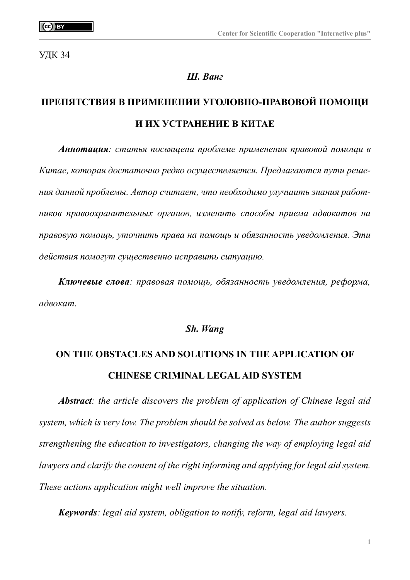УДК 34

## *Ш. Ванг*

# **ПРЕПЯТСТВИЯ В ПРИМЕНЕНИИ УГОЛОВНО-ПРАВОВОЙ ПОМОЩИ И ИХ УСТРАНЕНИЕ В КИТАЕ**

*Аннотация: статья посвящена проблеме применения правовой помощи в Китае, которая достаточно редко осуществляется. Предлагаются пути решения данной проблемы. Автор считает, что необходимо улучшить знания работников правоохранительных органов, изменить способы приема адвокатов на правовую помощь, уточнить права на помощь и обязанность уведомления. Эти действия помогут существенно исправить ситуацию.*

*Ключевые слова: правовая помощь, обязанность уведомления, реформа, адвокат.*

### *Sh. Wang*

# **ON THE OBSTACLES AND SOLUTIONS IN THE APPLICATION OF CHINESE CRIMINAL LEGAL AID SYSTEM**

*Abstract: the article discovers the problem of application of Chinese legal aid system, which is very low. The problem should be solved as below. The author suggests strengthening the education to investigators, changing the way of employing legal aid lawyers and clarify the content of the right informing and applying for legal aid system. These actions application might well improve the situation.*

*Keywords: legal aid system, obligation to notify, reform, legal aid lawyers.*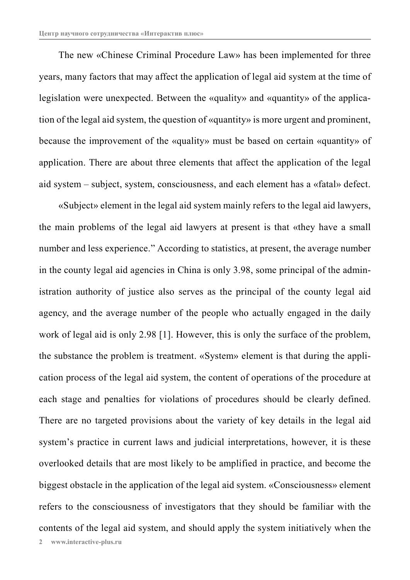The new «Chinese Criminal Procedure Law» has been implemented for three years, many factors that may affect the application of legal aid system at the time of legislation were unexpected. Between the «quality» and «quantity» of the application of the legal aid system, the question of «quantity» is more urgent and prominent, because the improvement of the «quality» must be based on certain «quantity» of application. There are about three elements that affect the application of the legal aid system – subject, system, consciousness, and each element has a «fatal» defect.

«Subject» element in the legal aid system mainly refers to the legal aid lawyers, the main problems of the legal aid lawyers at present is that «they have a small number and less experience." According to statistics, at present, the average number in the county legal aid agencies in China is only 3.98, some principal of the administration authority of justice also serves as the principal of the county legal aid agency, and the average number of the people who actually engaged in the daily work of legal aid is only 2.98 [1]. However, this is only the surface of the problem, the substance the problem is treatment. «System» element is that during the application process of the legal aid system, the content of operations of the procedure at each stage and penalties for violations of procedures should be clearly defined. There are no targeted provisions about the variety of key details in the legal aid system's practice in current laws and judicial interpretations, however, it is these overlooked details that are most likely to be amplified in practice, and become the biggest obstacle in the application of the legal aid system. «Consciousness» element refers to the consciousness of investigators that they should be familiar with the contents of the legal aid system, and should apply the system initiatively when the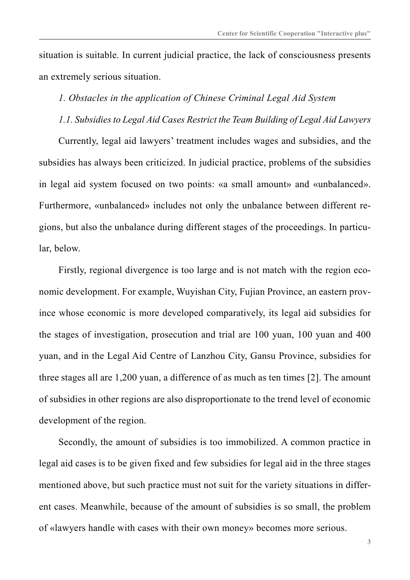situation is suitable. In current judicial practice, the lack of consciousness presents an extremely serious situation.

# *1. Obstacles in the application of Chinese Criminal Legal Aid System*

*1.1. Subsidies to Legal Aid Cases Restrict the Team Building of Legal Aid Lawyers*

Currently, legal aid lawyers' treatment includes wages and subsidies, and the subsidies has always been criticized. In judicial practice, problems of the subsidies in legal aid system focused on two points: «a small amount» and «unbalanced». Furthermore, «unbalanced» includes not only the unbalance between different regions, but also the unbalance during different stages of the proceedings. In particular, below.

Firstly, regional divergence is too large and is not match with the region economic development. For example, Wuyishan City, Fujian Province, an eastern province whose economic is more developed comparatively, its legal aid subsidies for the stages of investigation, prosecution and trial are 100 yuan, 100 yuan and 400 yuan, and in the Legal Aid Centre of Lanzhou City, Gansu Province, subsidies for three stages all are 1,200 yuan, a difference of as much as ten times [2]. The amount of subsidies in other regions are also disproportionate to the trend level of economic development of the region.

Secondly, the amount of subsidies is too immobilized. A common practice in legal aid cases is to be given fixed and few subsidies for legal aid in the three stages mentioned above, but such practice must not suit for the variety situations in different cases. Meanwhile, because of the amount of subsidies is so small, the problem of «lawyers handle with cases with their own money» becomes more serious.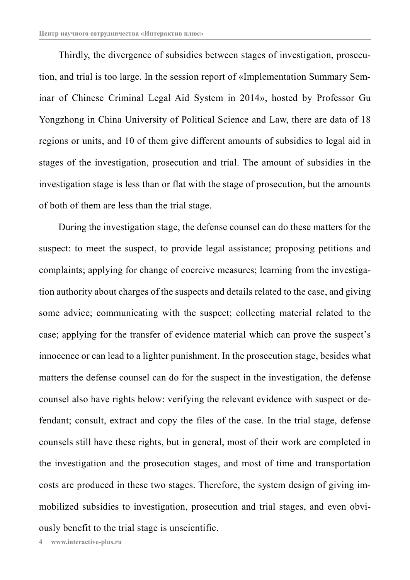Thirdly, the divergence of subsidies between stages of investigation, prosecution, and trial is too large. In the session report of «Implementation Summary Seminar of Chinese Criminal Legal Aid System in 2014», hosted by Professor Gu Yongzhong in China University of Political Science and Law, there are data of 18 regions or units, and 10 of them give different amounts of subsidies to legal aid in stages of the investigation, prosecution and trial. The amount of subsidies in the investigation stage is less than or flat with the stage of prosecution, but the amounts of both of them are less than the trial stage.

During the investigation stage, the defense counsel can do these matters for the suspect: to meet the suspect, to provide legal assistance; proposing petitions and complaints; applying for change of coercive measures; learning from the investigation authority about charges of the suspects and details related to the case, and giving some advice; communicating with the suspect; collecting material related to the case; applying for the transfer of evidence material which can prove the suspect's innocence or can lead to a lighter punishment. In the prosecution stage, besides what matters the defense counsel can do for the suspect in the investigation, the defense counsel also have rights below: verifying the relevant evidence with suspect or defendant; consult, extract and copy the files of the case. In the trial stage, defense counsels still have these rights, but in general, most of their work are completed in the investigation and the prosecution stages, and most of time and transportation costs are produced in these two stages. Therefore, the system design of giving immobilized subsidies to investigation, prosecution and trial stages, and even obviously benefit to the trial stage is unscientific.

**4 www.interactive-plus.ru**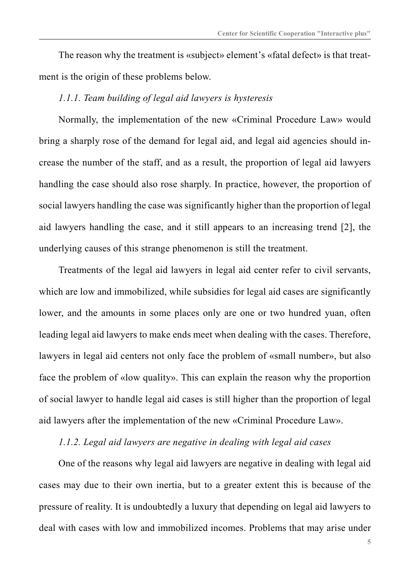The reason why the treatment is «subject» element's «fatal defect» is that treatment is the origin of these problems below.

## *1.1.1. Team building of legal aid lawyers is hysteresis*

Normally, the implementation of the new «Criminal Procedure Law» would bring a sharply rose of the demand for legal aid, and legal aid agencies should increase the number of the staff, and as a result, the proportion of legal aid lawyers handling the case should also rose sharply. In practice, however, the proportion of social lawyers handling the case was significantly higher than the proportion of legal aid lawyers handling the case, and it still appears to an increasing trend [2], the underlying causes of this strange phenomenon is still the treatment.

Treatments of the legal aid lawyers in legal aid center refer to civil servants, which are low and immobilized, while subsidies for legal aid cases are significantly lower, and the amounts in some places only are one or two hundred yuan, often leading legal aid lawyers to make ends meet when dealing with the cases. Therefore, lawyers in legal aid centers not only face the problem of «small number», but also face the problem of «low quality». This can explain the reason why the proportion of social lawyer to handle legal aid cases is still higher than the proportion of legal aid lawyers after the implementation of the new «Criminal Procedure Law».

## *1.1.2. Legal aid lawyers are negative in dealing with legal aid cases*

One of the reasons why legal aid lawyers are negative in dealing with legal aid cases may due to their own inertia, but to a greater extent this is because of the pressure of reality. It is undoubtedly a luxury that depending on legal aid lawyers to deal with cases with low and immobilized incomes. Problems that may arise under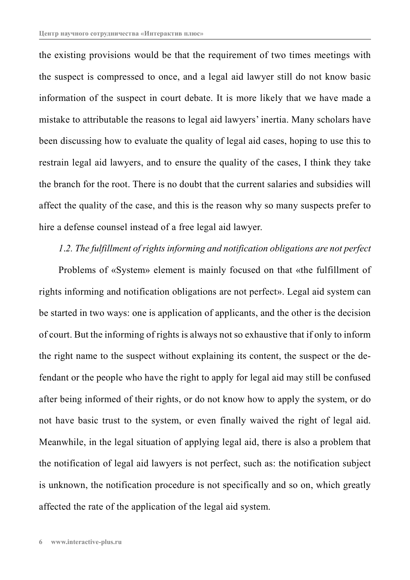the existing provisions would be that the requirement of two times meetings with the suspect is compressed to once, and a legal aid lawyer still do not know basic information of the suspect in court debate. It is more likely that we have made a mistake to attributable the reasons to legal aid lawyers' inertia. Many scholars have been discussing how to evaluate the quality of legal aid cases, hoping to use this to restrain legal aid lawyers, and to ensure the quality of the cases, I think they take the branch for the root. There is no doubt that the current salaries and subsidies will affect the quality of the case, and this is the reason why so many suspects prefer to hire a defense counsel instead of a free legal aid lawyer.

### *1*.*2. The fulfillment of rights informing and notification obligations are not perfect*

Problems of «System» element is mainly focused on that «the fulfillment of rights informing and notification obligations are not perfect». Legal aid system can be started in two ways: one is application of applicants, and the other is the decision of court. But the informing of rights is always not so exhaustive that if only to inform the right name to the suspect without explaining its content, the suspect or the defendant or the people who have the right to apply for legal aid may still be confused after being informed of their rights, or do not know how to apply the system, or do not have basic trust to the system, or even finally waived the right of legal aid. Meanwhile, in the legal situation of applying legal aid, there is also a problem that the notification of legal aid lawyers is not perfect, such as: the notification subject is unknown, the notification procedure is not specifically and so on, which greatly affected the rate of the application of the legal aid system.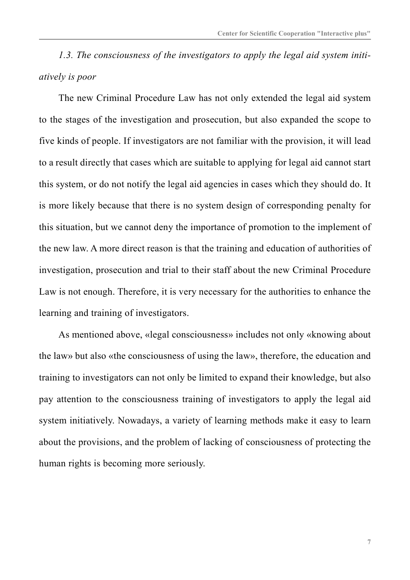*1.3. The consciousness of the investigators to apply the legal aid system initiatively is poor*

The new Criminal Procedure Law has not only extended the legal aid system to the stages of the investigation and prosecution, but also expanded the scope to five kinds of people. If investigators are not familiar with the provision, it will lead to a result directly that cases which are suitable to applying for legal aid cannot start this system, or do not notify the legal aid agencies in cases which they should do. It is more likely because that there is no system design of corresponding penalty for this situation, but we cannot deny the importance of promotion to the implement of the new law. A more direct reason is that the training and education of authorities of investigation, prosecution and trial to their staff about the new Criminal Procedure Law is not enough. Therefore, it is very necessary for the authorities to enhance the learning and training of investigators.

As mentioned above, «legal consciousness» includes not only «knowing about the law» but also «the consciousness of using the law», therefore, the education and training to investigators can not only be limited to expand their knowledge, but also pay attention to the consciousness training of investigators to apply the legal aid system initiatively. Nowadays, a variety of learning methods make it easy to learn about the provisions, and the problem of lacking of consciousness of protecting the human rights is becoming more seriously.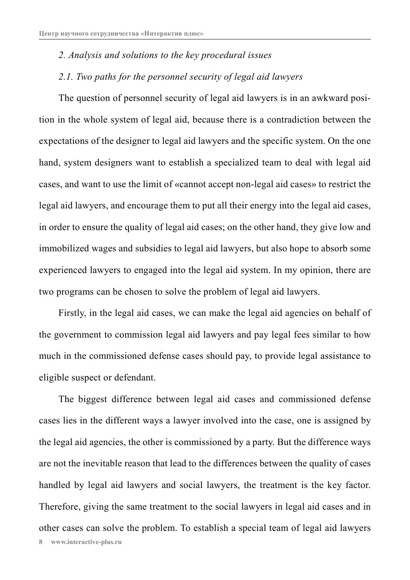## *2. Analysis and solutions to the key procedural issues*

#### *2.1. Two paths for the personnel security of legal aid lawyers*

The question of personnel security of legal aid lawyers is in an awkward position in the whole system of legal aid, because there is a contradiction between the expectations of the designer to legal aid lawyers and the specific system. On the one hand, system designers want to establish a specialized team to deal with legal aid cases, and want to use the limit of «cannot accept non-legal aid cases» to restrict the legal aid lawyers, and encourage them to put all their energy into the legal aid cases, in order to ensure the quality of legal aid cases; on the other hand, they give low and immobilized wages and subsidies to legal aid lawyers, but also hope to absorb some experienced lawyers to engaged into the legal aid system. In my opinion, there are two programs can be chosen to solve the problem of legal aid lawyers.

Firstly, in the legal aid cases, we can make the legal aid agencies on behalf of the government to commission legal aid lawyers and pay legal fees similar to how much in the commissioned defense cases should pay, to provide legal assistance to eligible suspect or defendant.

The biggest difference between legal aid cases and commissioned defense cases lies in the different ways a lawyer involved into the case, one is assigned by the legal aid agencies, the other is commissioned by a party. But the difference ways are not the inevitable reason that lead to the differences between the quality of cases handled by legal aid lawyers and social lawyers, the treatment is the key factor. Therefore, giving the same treatment to the social lawyers in legal aid cases and in other cases can solve the problem. To establish a special team of legal aid lawyers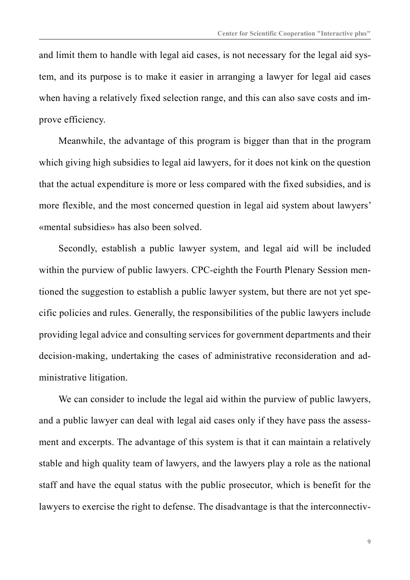and limit them to handle with legal aid cases, is not necessary for the legal aid system, and its purpose is to make it easier in arranging a lawyer for legal aid cases when having a relatively fixed selection range, and this can also save costs and improve efficiency.

Meanwhile, the advantage of this program is bigger than that in the program which giving high subsidies to legal aid lawyers, for it does not kink on the question that the actual expenditure is more or less compared with the fixed subsidies, and is more flexible, and the most concerned question in legal aid system about lawyers' «mental subsidies» has also been solved.

Secondly, establish a public lawyer system, and legal aid will be included within the purview of public lawyers. CPC-eighth the Fourth Plenary Session mentioned the suggestion to establish a public lawyer system, but there are not yet specific policies and rules. Generally, the responsibilities of the public lawyers include providing legal advice and consulting services for government departments and their decision-making, undertaking the cases of administrative reconsideration and administrative litigation.

We can consider to include the legal aid within the purview of public lawyers, and a public lawyer can deal with legal aid cases only if they have pass the assessment and excerpts. The advantage of this system is that it can maintain a relatively stable and high quality team of lawyers, and the lawyers play a role as the national staff and have the equal status with the public prosecutor, which is benefit for the lawyers to exercise the right to defense. The disadvantage is that the interconnectiv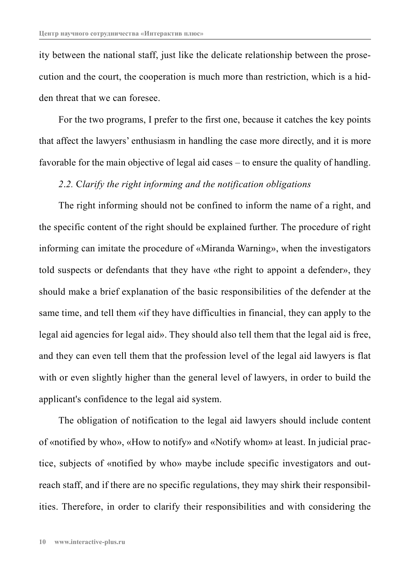ity between the national staff, just like the delicate relationship between the prosecution and the court, the cooperation is much more than restriction, which is a hidden threat that we can foresee.

For the two programs, I prefer to the first one, because it catches the key points that affect the lawyers' enthusiasm in handling the case more directly, and it is more favorable for the main objective of legal aid cases – to ensure the quality of handling.

#### *2*.*2.* C*larify the right informing and the notification obligations*

The right informing should not be confined to inform the name of a right, and the specific content of the right should be explained further. The procedure of right informing can imitate the procedure of «Miranda Warning», when the investigators told suspects or defendants that they have «the right to appoint a defender», they should make a brief explanation of the basic responsibilities of the defender at the same time, and tell them «if they have difficulties in financial, they can apply to the legal aid agencies for legal aid». They should also tell them that the legal aid is free, and they can even tell them that the profession level of the legal aid lawyers is flat with or even slightly higher than the general level of lawyers, in order to build the applicant's confidence to the legal aid system.

The obligation of notification to the legal aid lawyers should include content of «notified by who», «How to notify» and «Notify whom» at least. In judicial practice, subjects of «notified by who» maybe include specific investigators and outreach staff, and if there are no specific regulations, they may shirk their responsibilities. Therefore, in order to clarify their responsibilities and with considering the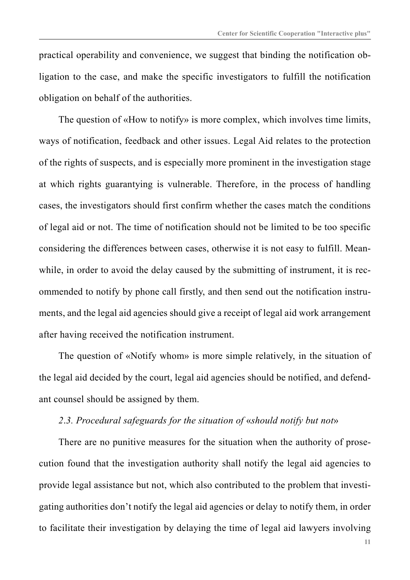practical operability and convenience, we suggest that binding the notification obligation to the case, and make the specific investigators to fulfill the notification obligation on behalf of the authorities.

The question of «How to notify» is more complex, which involves time limits, ways of notification, feedback and other issues. Legal Aid relates to the protection of the rights of suspects, and is especially more prominent in the investigation stage at which rights guarantying is vulnerable. Therefore, in the process of handling cases, the investigators should first confirm whether the cases match the conditions of legal aid or not. The time of notification should not be limited to be too specific considering the differences between cases, otherwise it is not easy to fulfill. Meanwhile, in order to avoid the delay caused by the submitting of instrument, it is recommended to notify by phone call firstly, and then send out the notification instruments, and the legal aid agencies should give a receipt of legal aid work arrangement after having received the notification instrument.

The question of «Notify whom» is more simple relatively, in the situation of the legal aid decided by the court, legal aid agencies should be notified, and defendant counsel should be assigned by them.

# *2*.*3. Procedural safeguards for the situation of* «*should notify but not*»

There are no punitive measures for the situation when the authority of prosecution found that the investigation authority shall notify the legal aid agencies to provide legal assistance but not, which also contributed to the problem that investigating authorities don't notify the legal aid agencies or delay to notify them, in order to facilitate their investigation by delaying the time of legal aid lawyers involving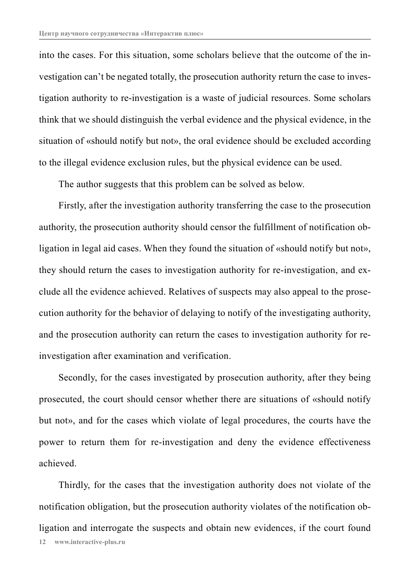into the cases. For this situation, some scholars believe that the outcome of the investigation can't be negated totally, the prosecution authority return the case to investigation authority to re-investigation is a waste of judicial resources. Some scholars think that we should distinguish the verbal evidence and the physical evidence, in the situation of «should notify but not», the oral evidence should be excluded according to the illegal evidence exclusion rules, but the physical evidence can be used.

The author suggests that this problem can be solved as below.

Firstly, after the investigation authority transferring the case to the prosecution authority, the prosecution authority should censor the fulfillment of notification obligation in legal aid cases. When they found the situation of «should notify but not», they should return the cases to investigation authority for re-investigation, and exclude all the evidence achieved. Relatives of suspects may also appeal to the prosecution authority for the behavior of delaying to notify of the investigating authority, and the prosecution authority can return the cases to investigation authority for reinvestigation after examination and verification.

Secondly, for the cases investigated by prosecution authority, after they being prosecuted, the court should censor whether there are situations of «should notify but not», and for the cases which violate of legal procedures, the courts have the power to return them for re-investigation and deny the evidence effectiveness achieved.

**12 www.interactive-plus.ru** Thirdly, for the cases that the investigation authority does not violate of the notification obligation, but the prosecution authority violates of the notification obligation and interrogate the suspects and obtain new evidences, if the court found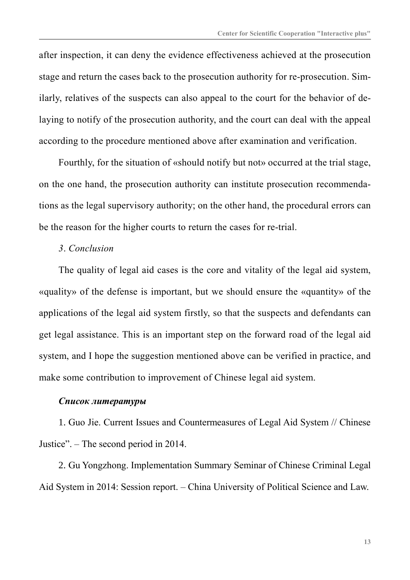after inspection, it can deny the evidence effectiveness achieved at the prosecution stage and return the cases back to the prosecution authority for re-prosecution. Similarly, relatives of the suspects can also appeal to the court for the behavior of delaying to notify of the prosecution authority, and the court can deal with the appeal according to the procedure mentioned above after examination and verification.

Fourthly, for the situation of «should notify but not» occurred at the trial stage, on the one hand, the prosecution authority can institute prosecution recommendations as the legal supervisory authority; on the other hand, the procedural errors can be the reason for the higher courts to return the cases for re-trial.

#### *3*. *Conclusion*

The quality of legal aid cases is the core and vitality of the legal aid system, «quality» of the defense is important, but we should ensure the «quantity» of the applications of the legal aid system firstly, so that the suspects and defendants can get legal assistance. This is an important step on the forward road of the legal aid system, and I hope the suggestion mentioned above can be verified in practice, and make some contribution to improvement of Chinese legal aid system.

#### *Список литературы*

1. Guo Jie. Current Issues and Countermeasures of Legal Aid System // Chinese Justice". – The second period in 2014.

2. Gu Yongzhong. Implementation Summary Seminar of Chinese Criminal Legal Aid System in 2014: Session report. – China University of Political Science and Law.